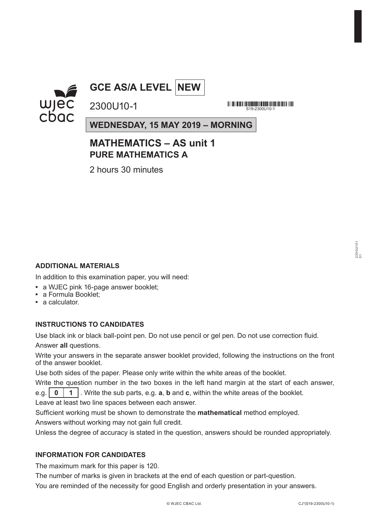

## **GCE AS/A LEVEL NEW**

<u> 111 | 112 | 113 | 113 | 113 | 113 | 113 | 113 | 113 | 113 | 114 | 115 | 116 | 117 | 118 | 11</u> S10-2300U110-1

**WEDNESDAY, 15 MAY 2019 – MORNING**

### **MATHEMATICS – AS unit 1 PURE MATHEMATICS A**

2 hours 30 minutes

2300U10-1

#### **ADDITIONAL MATERIALS**

In addition to this examination paper, you will need:

- **•** a WJEC pink 16-page answer booklet;
- **•** a Formula Booklet;
- **•** a calculator.

#### **INSTRUCTIONS TO CANDIDATES**

Use black ink or black ball-point pen. Do not use pencil or gel pen. Do not use correction fluid. Answer **all** questions.

Write your answers in the separate answer booklet provided, following the instructions on the front of the answer booklet.

Use both sides of the paper. Please only write within the white areas of the booklet.

Write the question number in the two boxes in the left hand margin at the start of each answer, e.g. **0 1** . Write the sub parts, e.g. **a**, **b** and **c**, within the white areas of the booklet.

Leave at least two line spaces between each answer.

Sufficient working must be shown to demonstrate the **mathematical** method employed. Answers without working may not gain full credit.

Unless the degree of accuracy is stated in the question, answers should be rounded appropriately.

#### **INFORMATION FOR CANDIDATES**

The maximum mark for this paper is 120.

The number of marks is given in brackets at the end of each question or part-question.

You are reminded of the necessity for good English and orderly presentation in your answers.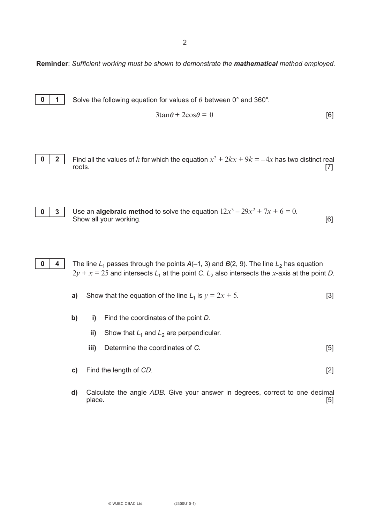2

**Reminder**: *Sufficient working must be shown to demonstrate the mathematical method employed.*

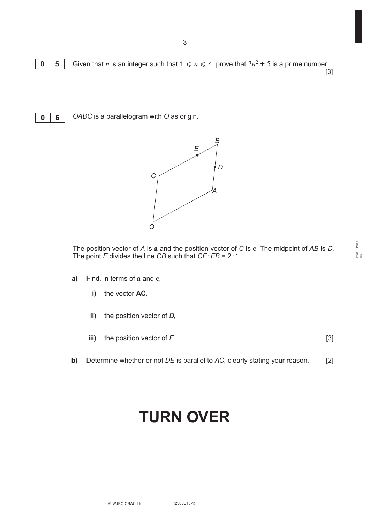

**0 5** Given that *n* is an integer such that  $1 \le n \le 4$ , prove that  $2n^2 + 5$  is a prime number. [3]



*OABC* is a parallelogram with *O* as origin.



The position vector of *A* is **a** and the position vector of *C* is **c**. The midpoint of *AB* is *D*. The point *E* divides the line *CB* such that *CE*:*EB* = 2:1.

- **a)** Find, in terms of **a** and **c**,
	- **i)** the vector **AC**,
	- **ii)** the position vector of *D*,
	- **iii)** the position vector of *E*. [3]
- **b)** Determine whether or not *DE* is parallel to *AC*, clearly stating your reason. [2]

## **TURN OVER**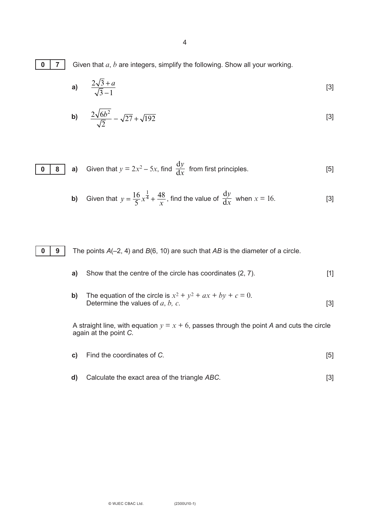4

**0 7**

Given that *a*, *b* are integers, simplify the following. Show all your working.

a) 
$$
\frac{2\sqrt{3}+a}{\sqrt{3}-1}
$$
 [3]

$$
b) \qquad \frac{2\sqrt{6b^2}}{\sqrt{2}} - \sqrt{27} + \sqrt{192} \tag{3}
$$

$$
\begin{array}{|c|c|} \hline \textbf{0} & \textbf{8} \\ \hline \end{array}
$$

**a)** Given that 
$$
y = 2x^2 - 5x
$$
, find  $\frac{dy}{dx}$  from first principles. [5]

**b)** Given that 
$$
y = \frac{16}{5}x^{\frac{1}{4}} + \frac{48}{x}
$$
, find the value of  $\frac{dy}{dx}$  when  $x = 16$ . [3]

**0 9**

The points *A*(–2, 4) and *B*(6, 10) are such that *AB* is the diameter of a circle.

- **a)** Show that the centre of the circle has coordinates (2, 7). [1]
- **b)** The equation of the circle is  $x^2 + y^2 + ax + by + c = 0$ . Determine the values of  $a, b, c$ . [3]

A straight line, with equation  $y = x + 6$ , passes through the point A and cuts the circle again at the point *C*.

- **c)** Find the coordinates of *C*. [5]
- **d)** Calculate the exact area of the triangle *ABC*. [3]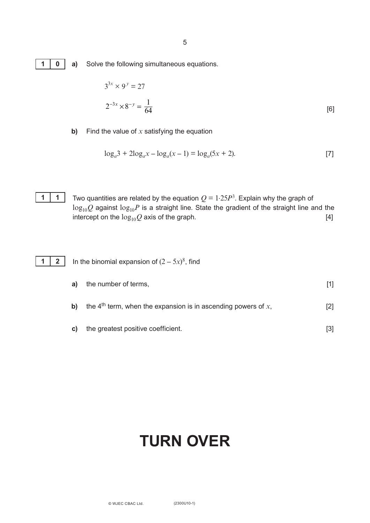5

|--|

**a)** Solve the following simultaneous equations.

$$
3^{3x} \times 9^y = 27
$$
  

$$
2^{-3x} \times 8^{-y} = \frac{1}{64}
$$
 [6]

**b)** Find the value of *x* satisfying the equation

$$
\log_a 3 + 2\log_a x - \log_a (x - 1) = \log_a (5x + 2).
$$
 [7]



Two quantities are related by the equation  $Q = 1.25P<sup>3</sup>$ . Explain why the graph of  $log_{10}Q$  against  $log_{10}P$  is a straight line. State the gradient of the straight line and the intercept on the  $log_{10}Q$  axis of the graph. intercept on the  $log_{10}Q$  axis of the graph.

|  | 1 2 In the binomial expansion of $(2-5x)^8$ , find |
|--|----------------------------------------------------|
|  |                                                    |

| a) | the number of terms,                                                         |     |
|----|------------------------------------------------------------------------------|-----|
| b) | the 4 <sup>th</sup> term, when the expansion is in ascending powers of $x$ , | [2] |
| C) | the greatest positive coefficient.                                           |     |

# **TURN OVER**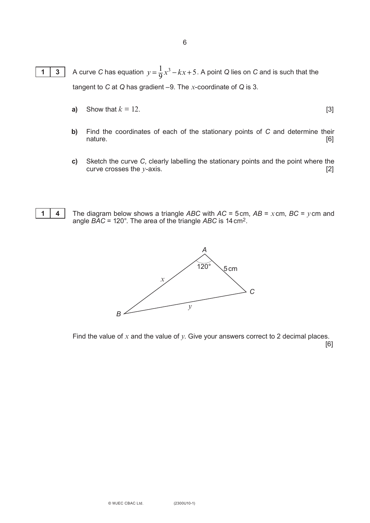- A curve *C* has equation  $y = \frac{1}{9}x^3 kx + 5$ . A point *Q* lies on *C* and is such that the tangent to *C* at *Q* has gradient –9. The *x*-coordinate of *Q* is 3. **1 3**
	- **a)** Show that  $k = 12$ . [3]
	- **b)** Find the coordinates of each of the stationary points of *C* and determine their nature. [6]
	- **c)** Sketch the curve *C*, clearly labelling the stationary points and the point where the curve crosses the *y*-axis. [2]



The diagram below shows a triangle *ABC* with *AC* = 5cm, *AB* = *x*cm, *BC* = *y*cm and angle *BAC* = 120°. The area of the triangle *ABC* is 14cm2.



Find the value of *x* and the value of *y*. Give your answers correct to 2 decimal places. [6]